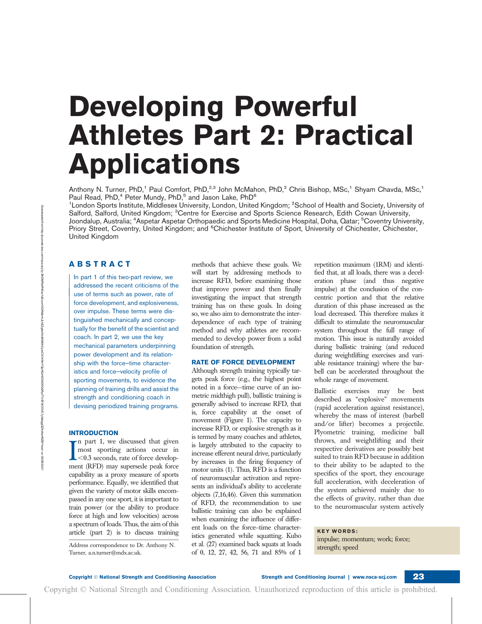# Developing Powerful Athletes Part 2: Practical Applications

Anthony N. Turner, PhD,<sup>1</sup> Paul Comfort, PhD,<sup>2,3</sup> John McMahon, PhD,<sup>2</sup> Chris Bishop, MSc,<sup>1</sup> Shyam Chavda, MSc,<sup>1</sup> Paul Read, PhD,<sup>4</sup> Peter Mundy, PhD,<sup>5</sup> and Jason Lake, PhD<sup>6</sup>

<sup>1</sup>London Sports Institute, Middlesex University, London, United Kingdom; <sup>2</sup>School of Health and Society, University of Salford, Salford, United Kingdom; <sup>3</sup>Centre for Exercise and Sports Science Research, Edith Cowan University, Joondalup, Australia; <sup>4</sup>Aspetar Aspetar Orthopaedic and Sports Medicine Hospital, Doha, Qatar; <sup>5</sup>Coventry University, Priory Street, Coventry, United Kingdom; and <sup>6</sup>Chichester Institute of Sport, University of Chichester, Chichester, United Kingdom

# ABSTRACT

In part 1 of this two-part review, we addressed the recent criticisms of the use of terms such as power, rate of force development, and explosiveness, over impulse. These terms were distinguished mechanically and conceptually for the benefit of the scientist and coach. In part 2, we use the key mechanical parameters underpinning power development and its relationship with the force–time characteristics and force–velocity profile of sporting movements, to evidence the planning of training drills and assist the strength and conditioning coach in devising periodized training programs.

## INTRODUCTION

 $\sum_{0.3}^{\text{n part 1, we discussed that given most}$  sporting actions occur in  $\langle 0.3 \rangle$  seconds, rate of force development (RFD) may supersede peak force n part 1, we discussed that given most sporting actions occur in  $\mathcal{L}$  <0.3 seconds, rate of force developcapability as a proxy measure of sports performance. Equally, we identified that given the variety of motor skills encompassed in any one sport, it is important to train power (or the ability to produce force at high and low velocities) across a spectrum of loads. Thus, the aim of this article (part 2) is to discuss training

Address correspondence to Dr. Anthony N. Turner, a.n.turner@mdx.ac.uk.

methods that achieve these goals. We will start by addressing methods to increase RFD, before examining those that improve power and then finally investigating the impact that strength training has on these goals. In doing so, we also aim to demonstrate the interdependence of each type of training method and why athletes are recommended to develop power from a solid foundation of strength.

## RATE OF FORCE DEVELOPMENT

Although strength training typically targets peak force (e.g., the highest point noted in a force–-time curve of an isometric midthigh pull), ballistic training is generally advised to increase RFD, that is, force capability at the onset of movement (Figure 1). The capacity to increase RFD, or explosive strength as it is termed by many coaches and athletes, is largely attributed to the capacity to increase efferent neural drive, particularly by increases in the firing frequency of motor units (1). Thus, RFD is a function of neuromuscular activation and represents an individual's ability to accelerate objects (7,16,46). Given this summation of RFD, the recommendation to use ballistic training can also be explained when examining the influence of different loads on the force–time characteristics generated while squatting. Kubo et al. (27) examined back squats at loads of 0, 12, 27, 42, 56, 71 and 85% of 1

Copyright © National Strength and Conditioning Association. Unauthorized reproduction of this article is prohibited.

repetition maximum (1RM) and identified that, at all loads, there was a deceleration phase (and thus negative impulse) at the conclusion of the concentric portion and that the relative duration of this phase increased as the load decreased. This therefore makes it difficult to stimulate the neuromuscular system throughout the full range of motion. This issue is naturally avoided during ballistic training (and reduced during weightlifting exercises and variable resistance training) where the barbell can be accelerated throughout the whole range of movement.

Ballistic exercises may be best described as "explosive" movements (rapid acceleration against resistance), whereby the mass of interest (barbell and/or lifter) becomes a projectile. Plyometric training, medicine ball throws, and weightlifting and their respective derivatives are possibly best suited to train RFD because in addition to their ability to be adapted to the specifics of the sport, they encourage full acceleration, with deceleration of the system achieved mainly due to the effects of gravity, rather than due to the neuromuscular system actively

# KEY WORDS:

impulse; momentum; work; force; strength; speed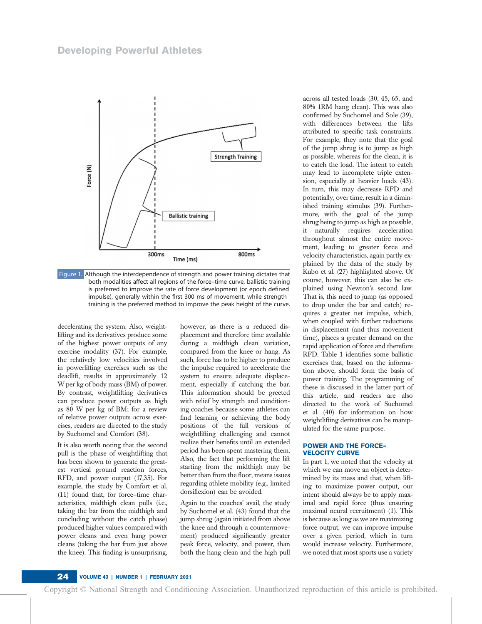

Figure 1. Although the interdependence of strength and power training dictates that both modalities affect all regions of the force–time curve, ballistic training is preferred to improve the rate of force development (or epoch defined impulse), generally within the first 300 ms of movement, while strength training is the preferred method to improve the peak height of the curve.

decelerating the system. Also, weightlifting and its derivatives produce some of the highest power outputs of any exercise modality (37). For example, the relatively low velocities involved in powerlifting exercises such as the deadlift, results in approximately 12 W per kg of body mass (BM) of power. By contrast, weightlifting derivatives can produce power outputs as high as 80 W per kg of BM; for a review of relative power outputs across exercises, readers are directed to the study by Suchomel and Comfort (38).

It is also worth noting that the second pull is the phase of weightlifting that has been shown to generate the greatest vertical ground reaction forces, RFD, and power output (17,35). For example, the study by Comfort et al. (11) found that, for force–time characteristics, midthigh clean pulls (i.e., taking the bar from the midthigh and concluding without the catch phase) produced higher values compared with power cleans and even hang power cleans (taking the bar from just above the knee). This finding is unsurprising,

however, as there is a reduced displacement and therefore time available during a midthigh clean variation, compared from the knee or hang. As such, force has to be higher to produce the impulse required to accelerate the system to ensure adequate displacement, especially if catching the bar. This information should be greeted with relief by strength and conditioning coaches because some athletes can find learning or achieving the body positions of the full versions of weightlifting challenging and cannot realize their benefits until an extended period has been spent mastering them. Also, the fact that performing the lift starting from the midthigh may be better than from the floor, means issues regarding athlete mobility (e.g., limited dorsiflexion) can be avoided.

Again to the coaches' avail, the study by Suchomel et al. (43) found that the jump shrug (again initiated from above the knee and through a countermovement) produced significantly greater peak force, velocity, and power, than both the hang clean and the high pull

across all tested loads (30, 45, 65, and 80% 1RM hang clean). This was also confirmed by Suchomel and Sole (39), with differences between the lifts attributed to specific task constraints. For example, they note that the goal of the jump shrug is to jump as high as possible, whereas for the clean, it is to catch the load. The intent to catch may lead to incomplete triple extension, especially at heavier loads (43). In turn, this may decrease RFD and potentially, over time, result in a diminished training stimulus (39). Furthermore, with the goal of the jump shrug being to jump as high as possible, it naturally requires acceleration throughout almost the entire movement, leading to greater force and velocity characteristics, again partly explained by the data of the study by Kubo et al. (27) highlighted above. Of course, however, this can also be explained using Newton's second law. That is, this need to jump (as opposed to drop under the bar and catch) requires a greater net impulse, which, when coupled with further reductions in displacement (and thus movement time), places a greater demand on the rapid application of force and therefore RFD. Table 1 identifies some ballistic exercises that, based on the information above, should form the basis of power training. The programming of these is discussed in the latter part of this article, and readers are also directed to the work of Suchomel et al. (40) for information on how weightlifting derivatives can be manipulated for the same purpose.

#### POWER AND THE FORCE– VELOCITY CURVE

In part 1, we noted that the velocity at which we can move an object is determined by its mass and that, when lifting to maximize power output, our intent should always be to apply maximal and rapid force (thus ensuring maximal neural recruitment) (1). This is because as long as we are maximizing force output, we can improve impulse over a given period, which in turn would increase velocity. Furthermore, we noted that most sports use a variety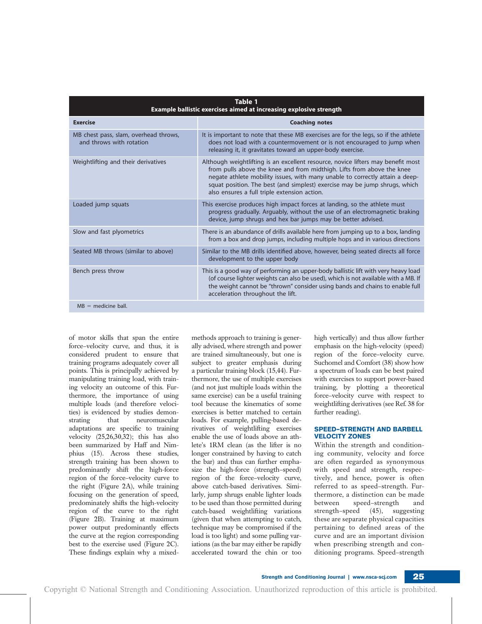| Table 1<br>Example ballistic exercises aimed at increasing explosive strength |                                                                                                                                                                                                                                                                                                                                                                          |  |  |
|-------------------------------------------------------------------------------|--------------------------------------------------------------------------------------------------------------------------------------------------------------------------------------------------------------------------------------------------------------------------------------------------------------------------------------------------------------------------|--|--|
| <b>Exercise</b>                                                               | <b>Coaching notes</b>                                                                                                                                                                                                                                                                                                                                                    |  |  |
| MB chest pass, slam, overhead throws,<br>and throws with rotation             | It is important to note that these MB exercises are for the legs, so if the athlete<br>does not load with a countermovement or is not encouraged to jump when<br>releasing it, it gravitates toward an upper-body exercise.                                                                                                                                              |  |  |
| Weightlifting and their derivatives                                           | Although weightlifting is an excellent resource, novice lifters may benefit most<br>from pulls above the knee and from midthigh. Lifts from above the knee<br>negate athlete mobility issues, with many unable to correctly attain a deep-<br>squat position. The best (and simplest) exercise may be jump shrugs, which<br>also ensures a full triple extension action. |  |  |
| Loaded jump squats                                                            | This exercise produces high impact forces at landing, so the athlete must<br>progress gradually. Arguably, without the use of an electromagnetic braking<br>device, jump shrugs and hex bar jumps may be better advised.                                                                                                                                                 |  |  |
| Slow and fast plyometrics                                                     | There is an abundance of drills available here from jumping up to a box, landing<br>from a box and drop jumps, including multiple hops and in various directions                                                                                                                                                                                                         |  |  |
| Seated MB throws (similar to above)                                           | Similar to the MB drills identified above, however, being seated directs all force<br>development to the upper body                                                                                                                                                                                                                                                      |  |  |
| Bench press throw                                                             | This is a good way of performing an upper-body ballistic lift with very heavy load<br>(of course lighter weights can also be used), which is not available with a MB. If<br>the weight cannot be "thrown" consider using bands and chains to enable full<br>acceleration throughout the lift.                                                                            |  |  |
| $MB =$ medicine ball.                                                         |                                                                                                                                                                                                                                                                                                                                                                          |  |  |

of motor skills that span the entire force–velocity curve, and thus, it is considered prudent to ensure that training programs adequately cover all points. This is principally achieved by manipulating training load, with training velocity an outcome of this. Furthermore, the importance of using multiple loads (and therefore velocities) is evidenced by studies demonstrating that neuromuscular adaptations are specific to training velocity (25,26,30,32); this has also been summarized by Haff and Nimphius (15). Across these studies, strength training has been shown to predominantly shift the high-force region of the force–velocity curve to the right (Figure 2A), while training focusing on the generation of speed, predominately shifts the high-velocity region of the curve to the right (Figure 2B). Training at maximum power output predominantly effects the curve at the region corresponding best to the exercise used (Figure 2C). These findings explain why a mixedmethods approach to training is generally advised, where strength and power are trained simultaneously, but one is subject to greater emphasis during a particular training block (15,44). Furthermore, the use of multiple exercises (and not just multiple loads within the same exercise) can be a useful training tool because the kinematics of some exercises is better matched to certain loads. For example, pulling-based derivatives of weightlifting exercises enable the use of loads above an athlete's 1RM clean (as the lifter is no longer constrained by having to catch the bar) and thus can further emphasize the high-force (strength–speed) region of the force–velocity curve, above catch-based derivatives. Similarly, jump shrugs enable lighter loads to be used than those permitted during catch-based weightlifting variations (given that when attempting to catch, technique may be compromised if the load is too light) and some pulling variations (as the bar may either be rapidly accelerated toward the chin or too

high vertically) and thus allow further emphasis on the high-velocity (speed) region of the force–velocity curve. Suchomel and Comfort (38) show how a spectrum of loads can be best paired with exercises to support power-based training, by plotting a theoretical force–velocity curve with respect to weightlifting derivatives (see Ref. 38 for further reading).

## SPEED–STRENGTH AND BARBELL VELOCITY ZONES

Within the strength and conditioning community, velocity and force are often regarded as synonymous with speed and strength, respectively, and hence, power is often referred to as speed–strength. Furthermore, a distinction can be made between speed–strength and strength–speed (45), suggesting these are separate physical capacities pertaining to defined areas of the curve and are an important division when prescribing strength and conditioning programs. Speed–strength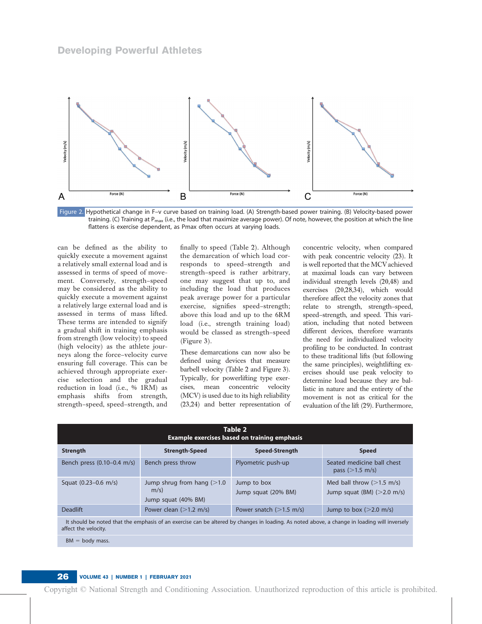

Figure 2. Hypothetical change in F–v curve based on training load. (A) Strength-based power training. (B) Velocity-based power training. (C) Training at P<sub>max</sub> (i.e., the load that maximize average power). Of note, however, the position at which the line flattens is exercise dependent, as Pmax often occurs at varying loads.

can be defined as the ability to quickly execute a movement against a relatively small external load and is assessed in terms of speed of movement. Conversely, strength–speed may be considered as the ability to quickly execute a movement against a relatively large external load and is assessed in terms of mass lifted. These terms are intended to signify a gradual shift in training emphasis from strength (low velocity) to speed (high velocity) as the athlete journeys along the force–velocity curve ensuring full coverage. This can be achieved through appropriate exercise selection and the gradual reduction in load (i.e., % 1RM) as emphasis shifts from strength, strength–speed, speed–strength, and finally to speed (Table 2). Although the demarcation of which load corresponds to speed–strength and strength–speed is rather arbitrary, one may suggest that up to, and including the load that produces peak average power for a particular exercise, signifies speed–strength; above this load and up to the 6RM load (i.e., strength training load) would be classed as strength–speed (Figure 3).

These demarcations can now also be defined using devices that measure barbell velocity (Table 2 and Figure 3). Typically, for powerlifting type exercises, mean concentric velocity (MCV) is used due to its high reliability (23,24) and better representation of concentric velocity, when compared with peak concentric velocity (23). It is well reported that the MCVachieved at maximal loads can vary between individual strength levels (20,48) and exercises (20,28,34), which would therefore affect the velocity zones that relate to strength, strength–speed, speed–strength, and speed. This variation, including that noted between different devices, therefore warrants the need for individualized velocity profiling to be conducted. In contrast to these traditional lifts (but following the same principles), weightlifting exercises should use peak velocity to determine load because they are ballistic in nature and the entirety of the movement is not as critical for the evaluation of the lift (29). Furthermore,

| Table 2<br><b>Example exercises based on training emphasis</b>                                                                                                       |                                                            |                                    |                                                                             |  |
|----------------------------------------------------------------------------------------------------------------------------------------------------------------------|------------------------------------------------------------|------------------------------------|-----------------------------------------------------------------------------|--|
| Strength                                                                                                                                                             | <b>Strength-Speed</b>                                      | <b>Speed-Strength</b>              | <b>Speed</b>                                                                |  |
| Bench press (0.10-0.4 m/s)                                                                                                                                           | Bench press throw                                          | Plyometric push-up                 | Seated medicine ball chest<br>pass ( $>1.5$ m/s)                            |  |
| Squat $(0.23 - 0.6 \text{ m/s})$                                                                                                                                     | Jump shrug from hang $(>1.0$<br>m/s<br>Jump squat (40% BM) | Jump to box<br>Jump squat (20% BM) | Med ball throw $(>1.5 \text{ m/s})$<br>Jump squat (BM) $(>2.0 \text{ m/s})$ |  |
| <b>Deadlift</b>                                                                                                                                                      | Power clean $(>1.2 \text{ m/s})$                           | Power snatch $(>1.5 \text{ m/s})$  | Jump to box $(>2.0 \text{ m/s})$                                            |  |
| It should be noted that the emphasis of an exercise can be altered by changes in loading. As noted above, a change in loading will inversely<br>affect the velocity. |                                                            |                                    |                                                                             |  |

 $BM = body$  mass.

# 26 VOLUME 43 | NUMBER 1 | FEBRUARY 2021

Copyright © National Strength and Conditioning Association. Unauthorized reproduction of this article is prohibited.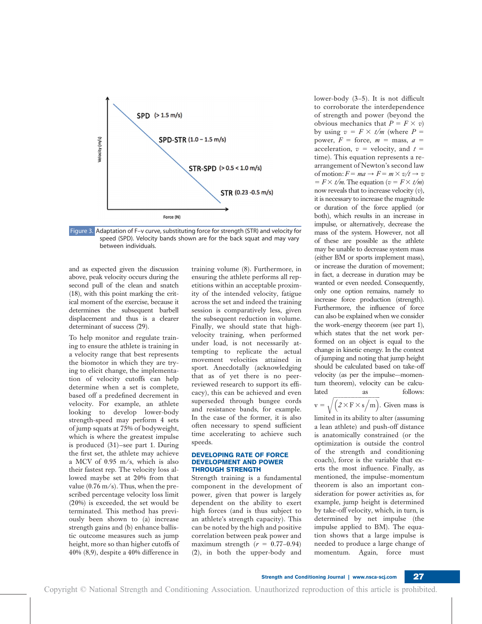

Figure 3. Adaptation of F–v curve, substituting force for strength (STR) and velocity for speed (SPD). Velocity bands shown are for the back squat and may vary between individuals.

and as expected given the discussion above, peak velocity occurs during the second pull of the clean and snatch (18), with this point marking the critical moment of the exercise, because it determines the subsequent barbell displacement and thus is a clearer determinant of success (29).

To help monitor and regulate training to ensure the athlete is training in a velocity range that best represents the biomotor in which they are trying to elicit change, the implementation of velocity cutoffs can help determine when a set is complete, based off a predefined decrement in velocity. For example, an athlete looking to develop lower-body strength-speed may perform 4 sets of jump squats at 75% of bodyweight, which is where the greatest impulse is produced (31)—see part 1. During the first set, the athlete may achieve a MCV of 0.95 m/s, which is also their fastest rep. The velocity loss allowed maybe set at 20% from that value  $(0.76 \text{ m/s})$ . Thus, when the prescribed percentage velocity loss limit (20%) is exceeded, the set would be terminated. This method has previously been shown to (a) increase strength gains and (b) enhance ballistic outcome measures such as jump height, more so than higher cutoffs of 40% (8,9), despite a 40% difference in training volume (8). Furthermore, in ensuring the athlete performs all repetitions within an acceptable proximity of the intended velocity, fatigue across the set and indeed the training session is comparatively less, given the subsequent reduction in volume. Finally, we should state that highvelocity training, when performed under load, is not necessarily attempting to replicate the actual movement velocities attained in sport. Anecdotally (acknowledging that as of yet there is no peerreviewed research to support its efficacy), this can be achieved and even superseded through bungee cords and resistance bands, for example. In the case of the former, it is also often necessary to spend sufficient time accelerating to achieve such speeds.

#### DEVELOPING RATE OF FORCE DEVELOPMENT AND POWER THROUGH STRENGTH

Strength training is a fundamental component in the development of power, given that power is largely dependent on the ability to exert high forces (and is thus subject to an athlete's strength capacity). This can be noted by the high and positive correlation between peak power and maximum strength  $(r = 0.77-0.94)$ (2), in both the upper-body and

lower-body (3–5). It is not difficult to corroborate the interdependence of strength and power (beyond the obvious mechanics that  $P = F \times v$ ) by using  $v = F \times t/m$  (where P = power,  $F =$  force,  $m =$  mass,  $a =$ acceleration,  $v =$  velocity, and  $t =$ time). This equation represents a rearrangement of Newton's second law of motion:  $F = ma \rightarrow F = m \times v/t \rightarrow v$  $= F \times t/m$ . The equation ( $v = F \times t/m$ ) now reveals that to increase velocity  $(v)$ , it is necessary to increase the magnitude or duration of the force applied (or both), which results in an increase in impulse, or alternatively, decrease the mass of the system. However, not all of these are possible as the athlete may be unable to decrease system mass (either BM or sports implement mass), or increase the duration of movement; in fact, a decrease in duration may be wanted or even needed. Consequently, only one option remains, namely to increase force production (strength). Furthermore, the influence of force can also be explained when we consider the work–energy theorem (see part 1), which states that the net work performed on an object is equal to the change in kinetic energy. In the context of jumping and noting that jump height should be calculated based on take-off velocity (as per the impulse–-momentum theorem), velocity can be calculated as follows:

 $v = \sqrt{(2 \times F \times s/m)}$ . Given mass is limited in its ability to alter (assuming a lean athlete) and push-off distance is anatomically constrained (or the optimization is outside the control of the strength and conditioning coach), force is the variable that exerts the most influence. Finally, as mentioned, the impulse–momentum theorem is also an important consideration for power activities as, for example, jump height is determined by take-off velocity, which, in turn, is determined by net impulse (the impulse applied to BM). The equation shows that a large impulse is needed to produce a large change of momentum. Again, force must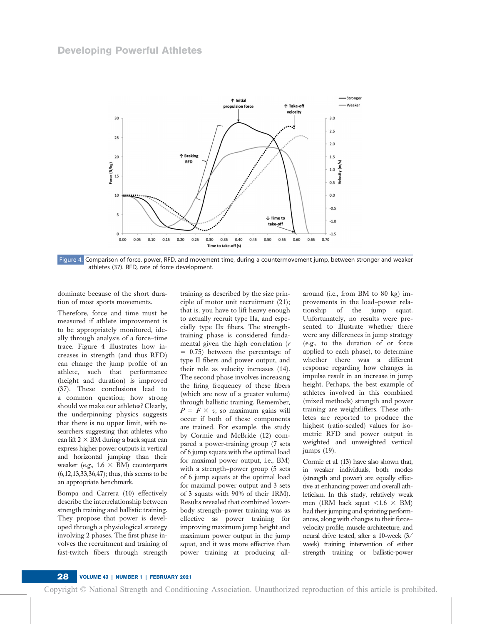

Figure 4. Comparison of force, power, RFD, and movement time, during a countermovement jump, between stronger and weaker athletes (37). RFD, rate of force development.

dominate because of the short duration of most sports movements.

Therefore, force and time must be measured if athlete improvement is to be appropriately monitored, ideally through analysis of a force–time trace. Figure 4 illustrates how increases in strength (and thus RFD) can change the jump profile of an athlete, such that performance (height and duration) is improved (37). These conclusions lead to a common question; how strong should we make our athletes? Clearly, the underpinning physics suggests that there is no upper limit, with researchers suggesting that athletes who can lift  $2 \times BM$  during a back squat can express higher power outputs in vertical and horizontal jumping than their weaker (e.g.,  $1.6 \times BM$ ) counterparts (6,12,13,33,36,47); thus, this seems to be an appropriate benchmark.

Bompa and Carrera (10) effectively describe the interrelationship between strength training and ballistic training. They propose that power is developed through a physiological strategy involving 2 phases. The first phase involves the recruitment and training of fast-twitch fibers through strength

training as described by the size principle of motor unit recruitment (21); that is, you have to lift heavy enough to actually recruit type IIa, and especially type IIx fibers. The strengthtraining phase is considered fundamental given the high correlation (r  $= 0.75$ ) between the percentage of type II fibers and power output, and their role as velocity increases (14). The second phase involves increasing the firing frequency of these fibers (which are now of a greater volume) through ballistic training. Remember,  $P = F \times v$ , so maximum gains will occur if both of these components are trained. For example, the study by Cormie and McBride (12) compared a power-training group (7 sets of 6 jump squats with the optimal load for maximal power output, i.e., BM) with a strength–power group (5 sets of 6 jump squats at the optimal load for maximal power output and 3 sets of 3 squats with 90% of their 1RM). Results revealed that combined lowerbody strength–power training was as effective as power training for improving maximum jump height and maximum power output in the jump squat, and it was more effective than power training at producing allaround (i.e., from BM to 80 kg) improvements in the load–power relationship of the jump squat. Unfortunately, no results were presented to illustrate whether there were any differences in jump strategy (e.g., to the duration of or force applied to each phase), to determine whether there was a different response regarding how changes in impulse result in an increase in jump height. Perhaps, the best example of athletes involved in this combined (mixed methods) strength and power training are weightlifters. These athletes are reported to produce the highest (ratio-scaled) values for isometric RFD and power output in weighted and unweighted vertical jumps (19).

Cormie et al. (13) have also shown that, in weaker individuals, both modes (strength and power) are equally effective at enhancing power and overall athleticism. In this study, relatively weak men (1RM back squat  $\lt 1.6 \times BM$ ) had their jumping and sprinting performances, along with changes to their force– velocity profile, muscle architecture, and neural drive tested, after a 10-week (3/ week) training intervention of either strength training or ballistic-power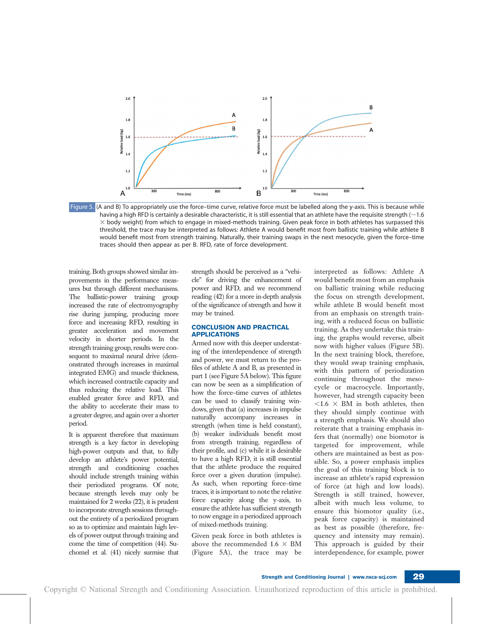

Figure 5. (A and B) To appropriately use the force-time curve, relative force must be labelled along the y-axis. This is because while having a high RFD is certainly a desirable characteristic, it is still essential that an athlete have the requisite strength  $(\sim 1.6$  $\times$  body weight) from which to engage in mixed-methods training. Given peak force in both athletes has surpassed this threshold, the trace may be interpreted as follows: Athlete A would benefit most from ballistic training while athlete B would benefit most from strength training. Naturally, their training swaps in the next mesocycle, given the force–time traces should then appear as per B. RFD, rate of force development.

training. Both groups showed similar improvements in the performance measures but through different mechanisms. The ballistic-power training group increased the rate of electromyography rise during jumping, producing more force and increasing RFD, resulting in greater acceleration and movement velocity in shorter periods. In the strength training group, results were consequent to maximal neural drive (demonstrated through increases in maximal integrated EMG) and muscle thickness, which increased contractile capacity and thus reducing the relative load. This enabled greater force and RFD, and the ability to accelerate their mass to a greater degree, and again over a shorter period.

It is apparent therefore that maximum strength is a key factor in developing high-power outputs and that, to fully develop an athlete's power potential, strength and conditioning coaches should include strength training within their periodized programs. Of note, because strength levels may only be maintained for 2 weeks (22), it is prudent to incorporate strength sessions throughout the entirety of a periodized program so as to optimize and maintain high levels of power output through training and come the time of competition (44). Suchomel et al. (41) nicely surmise that strength should be perceived as a "vehicle" for driving the enhancement of power and RFD, and we recommend reading (42) for a more in-depth analysis of the significance of strength and how it may be trained.

## CONCLUSION AND PRACTICAL APPLICATIONS

Armed now with this deeper understating of the interdependence of strength and power, we must return to the profiles of athlete A and B, as presented in part 1 (see Figure 5A below). This figure can now be seen as a simplification of how the force–time curves of athletes can be used to classify training windows, given that (a) increases in impulse naturally accompany increases in strength (when time is held constant), (b) weaker individuals benefit most from strength training, regardless of their profile, and (c) while it is desirable to have a high RFD, it is still essential that the athlete produce the required force over a given duration (impulse). As such, when reporting force–time traces, it is important to note the relative force capacity along the y-axis, to ensure the athlete has sufficient strength to now engage in a periodized approach of mixed-methods training.

Given peak force in both athletes is above the recommended 1.6  $\times$  BM (Figure 5A), the trace may be interpreted as follows: Athlete A would benefit most from an emphasis on ballistic training while reducing the focus on strength development, while athlete B would benefit most from an emphasis on strength training, with a reduced focus on ballistic training. As they undertake this training, the graphs would reverse, albeit now with higher values (Figure 5B). In the next training block, therefore, they would swap training emphasis, with this pattern of periodization continuing throughout the mesocycle or macrocycle. Importantly, however, had strength capacity been  $<$ 1.6  $\times$  BM in both athletes, then they should simply continue with a strength emphasis. We should also reiterate that a training emphasis infers that (normally) one biomotor is targeted for improvement, while others are maintained as best as possible. So, a power emphasis implies the goal of this training block is to increase an athlete's rapid expression of force (at high and low loads). Strength is still trained, however, albeit with much less volume, to ensure this biomotor quality (i.e., peak force capacity) is maintained as best as possible (therefore, frequency and intensity may remain). This approach is guided by their interdependence, for example, power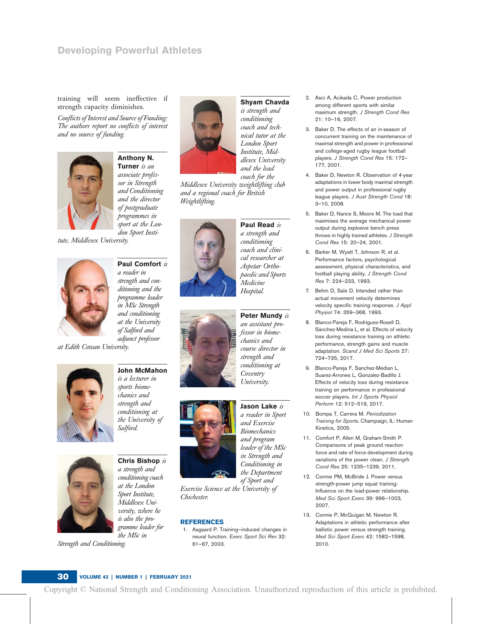# Developing Powerful Athletes

training will seem ineffective if strength capacity diminishes.

Conflicts of Interest and Source of Funding: The authors report no conflicts of interest and no source of funding.



Anthony N. Turner is an associate professor in Strength and Conditioning and the director of postgraduate programmes in sport at the Lon-

don Sport Insti-

tute, Middlesex University.



Paul Comfort is a reader in strength and conditioning and the programme leader in MSc Strength and conditioning at the University of Salford and adjunct professor

at Edith Cowan University.







Chris Bishop is a strength and conditioning coach at the London Sport Institute, Middlesex University, where he is also the programme leader for the MSc in

Strength and Conditioning.



Shyam Chavda is strength and conditioning coach and technical tutor at the London Sport Institute, Middlesex University and the lead coach for the

Paul Read is a strength and conditioning coach and clinical researcher at Aspetar Orthopaedic and Sports Medicine

Middlesex University weightlifting club and a regional coach for British Weightlifting.



Hospital. Peter Mundy is an assistant professor in biomechanics and course director in strength and conditioning at Coventry



Jason Lake is a reader in Sport and Exercise Biomechanics and program leader of the MSc in Strength and Conditioning in the Department

University.

of Sport and Exercise Science at the University of Chichester.

# **REFERENCES**

1. Aagaard P. Training—induced changes in neural function. Exerc Sport Sci Rev 32: 61–67, 2003.

- 2. Asci A, Acikada C. Power production among different sports with similar maximum strength. J Strength Cond Res 21: 10–16, 2007.
- 3. Baker D. The effects of an in-season of concurrent training on the maintenance of maximal strength and power in professional and college-aged rugby league football players. J Strength Cond Res 15: 172– 177, 2001.
- 4. Baker D, Newton R. Observation of 4-year adaptations in lower body maximal strength and power output in professional rugby league players. J Aust Strength Cond 18: 3–10, 2008.
- 5. Baker D, Nance S, Moore M. The load that maximises the average mechanical power output during explosive bench press throws in highly trained athletes. J Strength Cond Res 15: 20–24, 2001.
- 6. Barker M, Wyatt T, Johnson R, et al. Performance factors, psychological assessment, physical characteristics, and football playing ability. J Strength Cond Res 7: 224–233, 1993.
- 7. Behm D, Sale D. Intended rather than actual movement velocity determines velocity specific training response. J Appl Physiol 74: 359–368, 1993.
- 8. Blanco-Pareja F, Rodriguez-Rosell D, Sánchez-Medina L, et al. Effects of velocity loss during resistance training on athletic performance, strength gains and muscle adaptation. Scand J Med Sci Sports 27: 724–735, 2017.
- 9. Blanco-Pareja F, Sanchez-Median L, Suarez-Arrones L, Gonzalez-Badillo J. Effects of velocity loss during resistance training on performance in professional soccer players. Int J Sports Physiol Perform 12: 512–519, 2017.
- 10. Bompa T, Carrera M. Periodization Training for Sports. Champaign, IL: Human Kinetics, 2005.
- 11. Comfort P, Allen M, Graham-Smith P. Comparisons of peak ground reaction force and rate of force development during variations of the power clean. J Strength Cond Res 25: 1235–1239, 2011.
- 12. Cormie PM, McBride J. Power versus strength-power jump squat training: Influence on the load-power relationship. Med Sci Sport Exerc 39: 996–1003, 2007.
- 13. Cormie P, McGuigan M, Newton R. Adaptations in athletic performance after ballistic power versus strength training. Med Sci Sport Exerc 42: 1582–1598, 2010.

## 30 VOLUME 43 | NUMBER 1 | FEBRUARY 2021